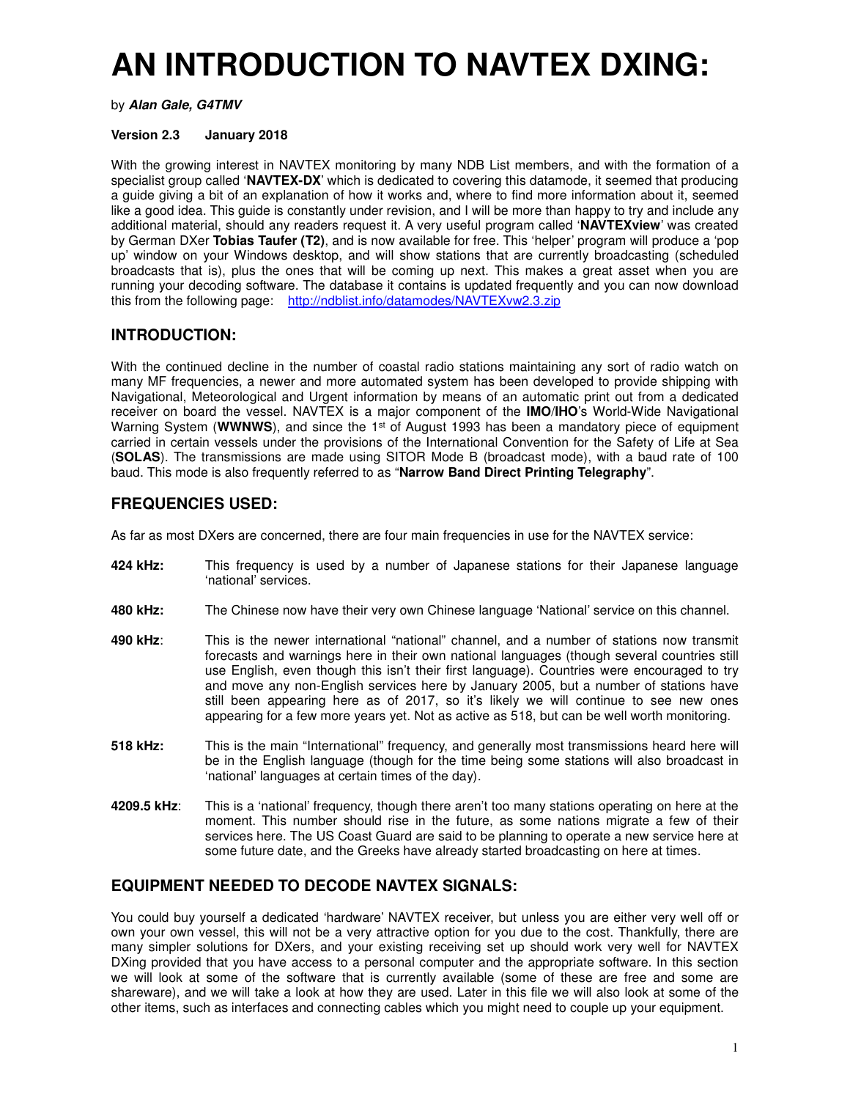# **AN INTRODUCTION TO NAVTEX DXING:**

by **Alan Gale, G4TMV**

#### **Version 2.3 January 2018**

With the growing interest in NAVTEX monitoring by many NDB List members, and with the formation of a specialist group called '**NAVTEX-DX**' which is dedicated to covering this datamode, it seemed that producing a guide giving a bit of an explanation of how it works and, where to find more information about it, seemed like a good idea. This guide is constantly under revision, and I will be more than happy to try and include any additional material, should any readers request it. A very useful program called '**NAVTEXview**' was created by German DXer **Tobias Taufer (T2)**, and is now available for free. This 'helper' program will produce a 'pop up' window on your Windows desktop, and will show stations that are currently broadcasting (scheduled broadcasts that is), plus the ones that will be coming up next. This makes a great asset when you are running your decoding software. The database it contains is updated frequently and you can now download this from the following page: http://ndblist.info/datamodes/NAVTEXvw2.3.zip

#### **INTRODUCTION:**

With the continued decline in the number of coastal radio stations maintaining any sort of radio watch on many MF frequencies, a newer and more automated system has been developed to provide shipping with Navigational, Meteorological and Urgent information by means of an automatic print out from a dedicated receiver on board the vessel. NAVTEX is a major component of the **IMO**/**IHO**'s World-Wide Navigational Warning System (WWNWS), and since the 1<sup>st</sup> of August 1993 has been a mandatory piece of equipment carried in certain vessels under the provisions of the International Convention for the Safety of Life at Sea (**SOLAS**). The transmissions are made using SITOR Mode B (broadcast mode), with a baud rate of 100 baud. This mode is also frequently referred to as "**Narrow Band Direct Printing Telegraphy**".

#### **FREQUENCIES USED:**

As far as most DXers are concerned, there are four main frequencies in use for the NAVTEX service:

- **424 kHz:** This frequency is used by a number of Japanese stations for their Japanese language 'national' services.
- **480 kHz:** The Chinese now have their very own Chinese language 'National' service on this channel.
- **490 kHz**: This is the newer international "national" channel, and a number of stations now transmit forecasts and warnings here in their own national languages (though several countries still use English, even though this isn't their first language). Countries were encouraged to try and move any non-English services here by January 2005, but a number of stations have still been appearing here as of 2017, so it's likely we will continue to see new ones appearing for a few more years yet. Not as active as 518, but can be well worth monitoring.
- **518 kHz:** This is the main "International" frequency, and generally most transmissions heard here will be in the English language (though for the time being some stations will also broadcast in 'national' languages at certain times of the day).
- **4209.5 kHz**: This is a 'national' frequency, though there aren't too many stations operating on here at the moment. This number should rise in the future, as some nations migrate a few of their services here. The US Coast Guard are said to be planning to operate a new service here at some future date, and the Greeks have already started broadcasting on here at times.

#### **EQUIPMENT NEEDED TO DECODE NAVTEX SIGNALS:**

You could buy yourself a dedicated 'hardware' NAVTEX receiver, but unless you are either very well off or own your own vessel, this will not be a very attractive option for you due to the cost. Thankfully, there are many simpler solutions for DXers, and your existing receiving set up should work very well for NAVTEX DXing provided that you have access to a personal computer and the appropriate software. In this section we will look at some of the software that is currently available (some of these are free and some are shareware), and we will take a look at how they are used. Later in this file we will also look at some of the other items, such as interfaces and connecting cables which you might need to couple up your equipment.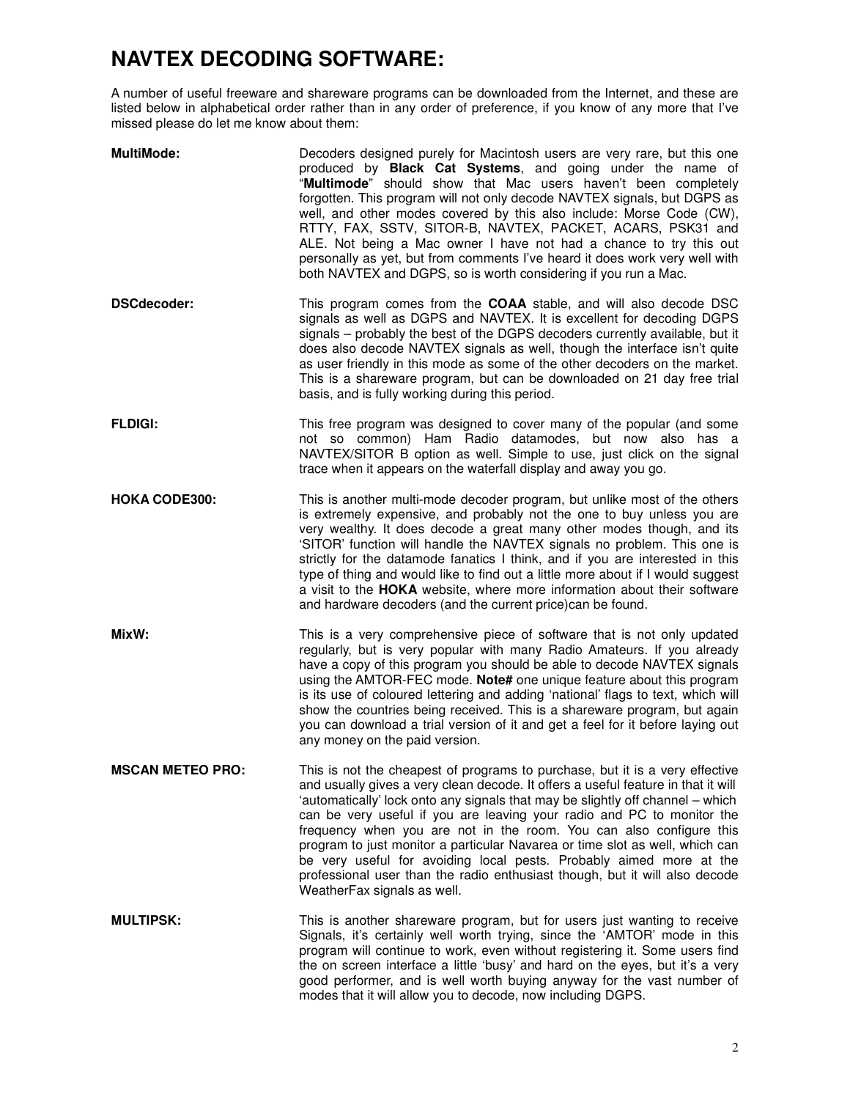# **NAVTEX DECODING SOFTWARE:**

A number of useful freeware and shareware programs can be downloaded from the Internet, and these are listed below in alphabetical order rather than in any order of preference, if you know of any more that I've missed please do let me know about them:

| <b>MultiMode:</b>       | Decoders designed purely for Macintosh users are very rare, but this one<br>produced by Black Cat Systems, and going under the name of<br>"Multimode" should show that Mac users haven't been completely<br>forgotten. This program will not only decode NAVTEX signals, but DGPS as<br>well, and other modes covered by this also include: Morse Code (CW),<br>RTTY, FAX, SSTV, SITOR-B, NAVTEX, PACKET, ACARS, PSK31 and<br>ALE. Not being a Mac owner I have not had a chance to try this out<br>personally as yet, but from comments I've heard it does work very well with<br>both NAVTEX and DGPS, so is worth considering if you run a Mac.                        |
|-------------------------|---------------------------------------------------------------------------------------------------------------------------------------------------------------------------------------------------------------------------------------------------------------------------------------------------------------------------------------------------------------------------------------------------------------------------------------------------------------------------------------------------------------------------------------------------------------------------------------------------------------------------------------------------------------------------|
| <b>DSCdecoder:</b>      | This program comes from the COAA stable, and will also decode DSC<br>signals as well as DGPS and NAVTEX. It is excellent for decoding DGPS<br>signals - probably the best of the DGPS decoders currently available, but it<br>does also decode NAVTEX signals as well, though the interface isn't quite<br>as user friendly in this mode as some of the other decoders on the market.<br>This is a shareware program, but can be downloaded on 21 day free trial<br>basis, and is fully working during this period.                                                                                                                                                       |
| <b>FLDIGI:</b>          | This free program was designed to cover many of the popular (and some<br>not so common) Ham Radio datamodes, but now also has a<br>NAVTEX/SITOR B option as well. Simple to use, just click on the signal<br>trace when it appears on the waterfall display and away you go.                                                                                                                                                                                                                                                                                                                                                                                              |
| <b>HOKA CODE300:</b>    | This is another multi-mode decoder program, but unlike most of the others<br>is extremely expensive, and probably not the one to buy unless you are<br>very wealthy. It does decode a great many other modes though, and its<br>'SITOR' function will handle the NAVTEX signals no problem. This one is<br>strictly for the datamode fanatics I think, and if you are interested in this<br>type of thing and would like to find out a little more about if I would suggest<br>a visit to the HOKA website, where more information about their software<br>and hardware decoders (and the current price)can be found.                                                     |
| MixW:                   | This is a very comprehensive piece of software that is not only updated<br>regularly, but is very popular with many Radio Amateurs. If you already<br>have a copy of this program you should be able to decode NAVTEX signals<br>using the AMTOR-FEC mode. Note# one unique feature about this program<br>is its use of coloured lettering and adding 'national' flags to text, which will<br>show the countries being received. This is a shareware program, but again<br>you can download a trial version of it and get a feel for it before laying out<br>any money on the paid version.                                                                               |
| <b>MSCAN METEO PRO:</b> | This is not the cheapest of programs to purchase, but it is a very effective<br>and usually gives a very clean decode. It offers a useful feature in that it will<br>'automatically' lock onto any signals that may be slightly off channel – which<br>can be very useful if you are leaving your radio and PC to monitor the<br>frequency when you are not in the room. You can also configure this<br>program to just monitor a particular Navarea or time slot as well, which can<br>be very useful for avoiding local pests. Probably aimed more at the<br>professional user than the radio enthusiast though, but it will also decode<br>WeatherFax signals as well. |
| <b>MULTIPSK:</b>        | This is another shareware program, but for users just wanting to receive<br>Signals, it's certainly well worth trying, since the 'AMTOR' mode in this<br>program will continue to work, even without registering it. Some users find<br>the on screen interface a little 'busy' and hard on the eyes, but it's a very<br>good performer, and is well worth buying anyway for the vast number of<br>modes that it will allow you to decode, now including DGPS.                                                                                                                                                                                                            |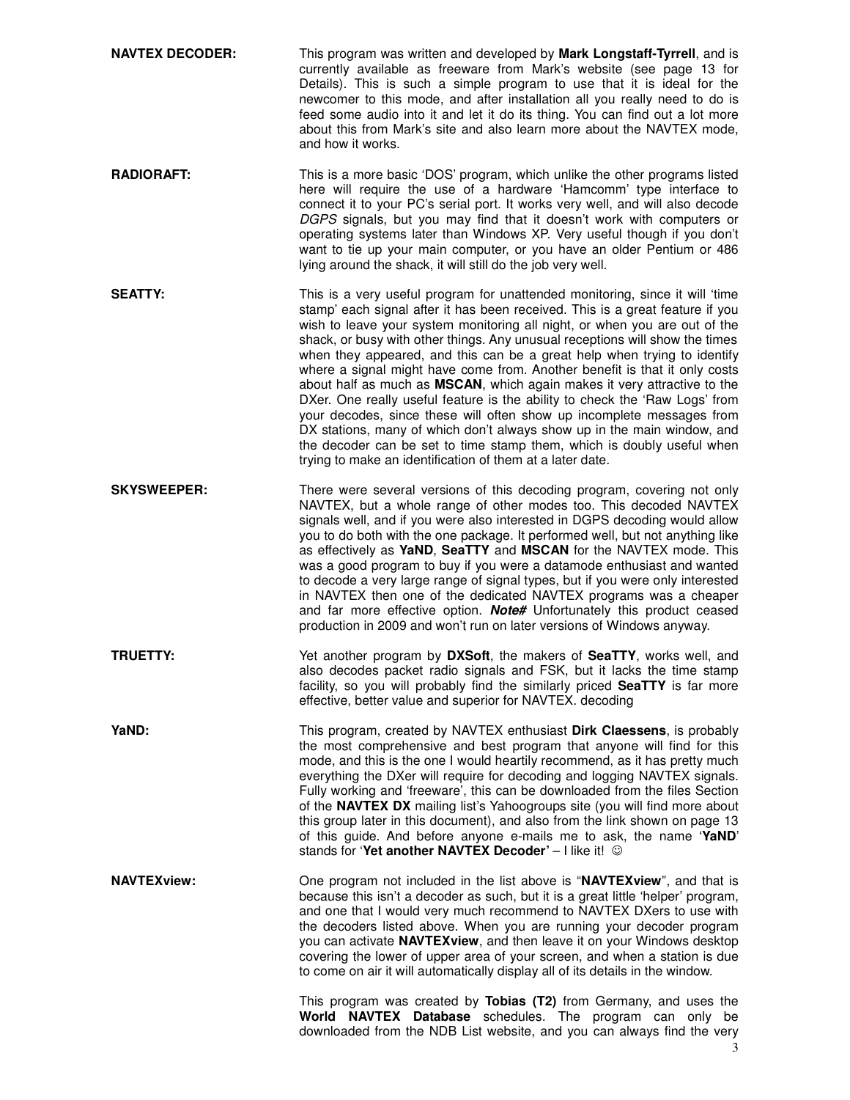**NAVTEX DECODER:** This program was written and developed by **Mark Longstaff-Tyrrell**, and is currently available as freeware from Mark's website (see page 13 for Details). This is such a simple program to use that it is ideal for the newcomer to this mode, and after installation all you really need to do is feed some audio into it and let it do its thing. You can find out a lot more about this from Mark's site and also learn more about the NAVTEX mode, and how it works. **RADIORAFT:** This is a more basic 'DOS' program, which unlike the other programs listed here will require the use of a hardware 'Hamcomm' type interface to connect it to your PC's serial port. It works very well, and will also decode DGPS signals, but you may find that it doesn't work with computers or operating systems later than Windows XP. Very useful though if you don't want to tie up your main computer, or you have an older Pentium or 486 lying around the shack, it will still do the job very well. **SEATTY:** This is a very useful program for unattended monitoring, since it will 'time stamp' each signal after it has been received. This is a great feature if you wish to leave your system monitoring all night, or when you are out of the shack, or busy with other things. Any unusual receptions will show the times when they appeared, and this can be a great help when trying to identify where a signal might have come from. Another benefit is that it only costs about half as much as **MSCAN**, which again makes it very attractive to the DXer. One really useful feature is the ability to check the 'Raw Logs' from your decodes, since these will often show up incomplete messages from DX stations, many of which don't always show up in the main window, and the decoder can be set to time stamp them, which is doubly useful when trying to make an identification of them at a later date. **SKYSWEEPER:** There were several versions of this decoding program, covering not only NAVTEX, but a whole range of other modes too. This decoded NAVTEX signals well, and if you were also interested in DGPS decoding would allow you to do both with the one package. It performed well, but not anything like as effectively as **YaND**, **SeaTTY** and **MSCAN** for the NAVTEX mode. This was a good program to buy if you were a datamode enthusiast and wanted to decode a very large range of signal types, but if you were only interested in NAVTEX then one of the dedicated NAVTEX programs was a cheaper and far more effective option. **Note#** Unfortunately this product ceased production in 2009 and won't run on later versions of Windows anyway. **TRUETTY:** Yet another program by **DXSoft**, the makers of **SeaTTY**, works well, and also decodes packet radio signals and FSK, but it lacks the time stamp facility, so you will probably find the similarly priced **SeaTTY** is far more effective, better value and superior for NAVTEX. decoding **YaND:** This program, created by NAVTEX enthusiast **Dirk Claessens**, is probably the most comprehensive and best program that anyone will find for this mode, and this is the one I would heartily recommend, as it has pretty much everything the DXer will require for decoding and logging NAVTEX signals. Fully working and 'freeware', this can be downloaded from the files Section of the **NAVTEX DX** mailing list's Yahoogroups site (you will find more about this group later in this document), and also from the link shown on page 13 of this guide. And before anyone e-mails me to ask, the name '**YaND**' stands for 'Yet another NAVTEX Decoder' - I like it!  $\odot$ **NAVTEXview: One program not included in the list above is "NAVTEXview"**, and that is because this isn't a decoder as such, but it is a great little 'helper' program, and one that I would very much recommend to NAVTEX DXers to use with the decoders listed above. When you are running your decoder program you can activate **NAVTEXview**, and then leave it on your Windows desktop covering the lower of upper area of your screen, and when a station is due to come on air it will automatically display all of its details in the window. This program was created by **Tobias (T2)** from Germany, and uses the **World NAVTEX Database** schedules. The program can only be downloaded from the NDB List website, and you can always find the very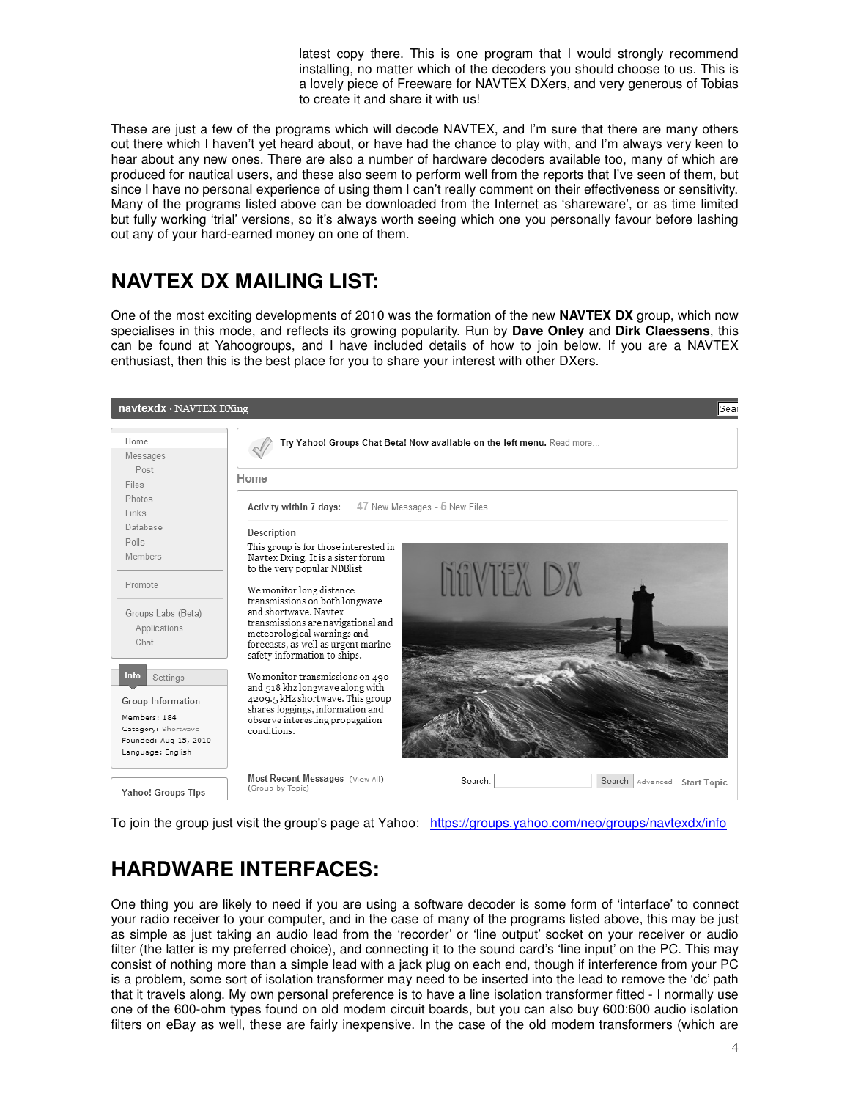latest copy there. This is one program that I would strongly recommend installing, no matter which of the decoders you should choose to us. This is a lovely piece of Freeware for NAVTEX DXers, and very generous of Tobias to create it and share it with us!

These are just a few of the programs which will decode NAVTEX, and I'm sure that there are many others out there which I haven't yet heard about, or have had the chance to play with, and I'm always very keen to hear about any new ones. There are also a number of hardware decoders available too, many of which are produced for nautical users, and these also seem to perform well from the reports that I've seen of them, but since I have no personal experience of using them I can't really comment on their effectiveness or sensitivity. Many of the programs listed above can be downloaded from the Internet as 'shareware', or as time limited but fully working 'trial' versions, so it's always worth seeing which one you personally favour before lashing out any of your hard-earned money on one of them.

# **NAVTEX DX MAILING LIST:**

One of the most exciting developments of 2010 was the formation of the new **NAVTEX DX** group, which now specialises in this mode, and reflects its growing popularity. Run by **Dave Onley** and **Dirk Claessens**, this can be found at Yahoogroups, and I have included details of how to join below. If you are a NAVTEX enthusiast, then this is the best place for you to share your interest with other DXers.



To join the group just visit the group's page at Yahoo: https://groups.yahoo.com/neo/groups/navtexdx/info

# **HARDWARE INTERFACES:**

One thing you are likely to need if you are using a software decoder is some form of 'interface' to connect your radio receiver to your computer, and in the case of many of the programs listed above, this may be just as simple as just taking an audio lead from the 'recorder' or 'line output' socket on your receiver or audio filter (the latter is my preferred choice), and connecting it to the sound card's 'line input' on the PC. This may consist of nothing more than a simple lead with a jack plug on each end, though if interference from your PC is a problem, some sort of isolation transformer may need to be inserted into the lead to remove the 'dc' path that it travels along. My own personal preference is to have a line isolation transformer fitted - I normally use one of the 600-ohm types found on old modem circuit boards, but you can also buy 600:600 audio isolation filters on eBay as well, these are fairly inexpensive. In the case of the old modem transformers (which are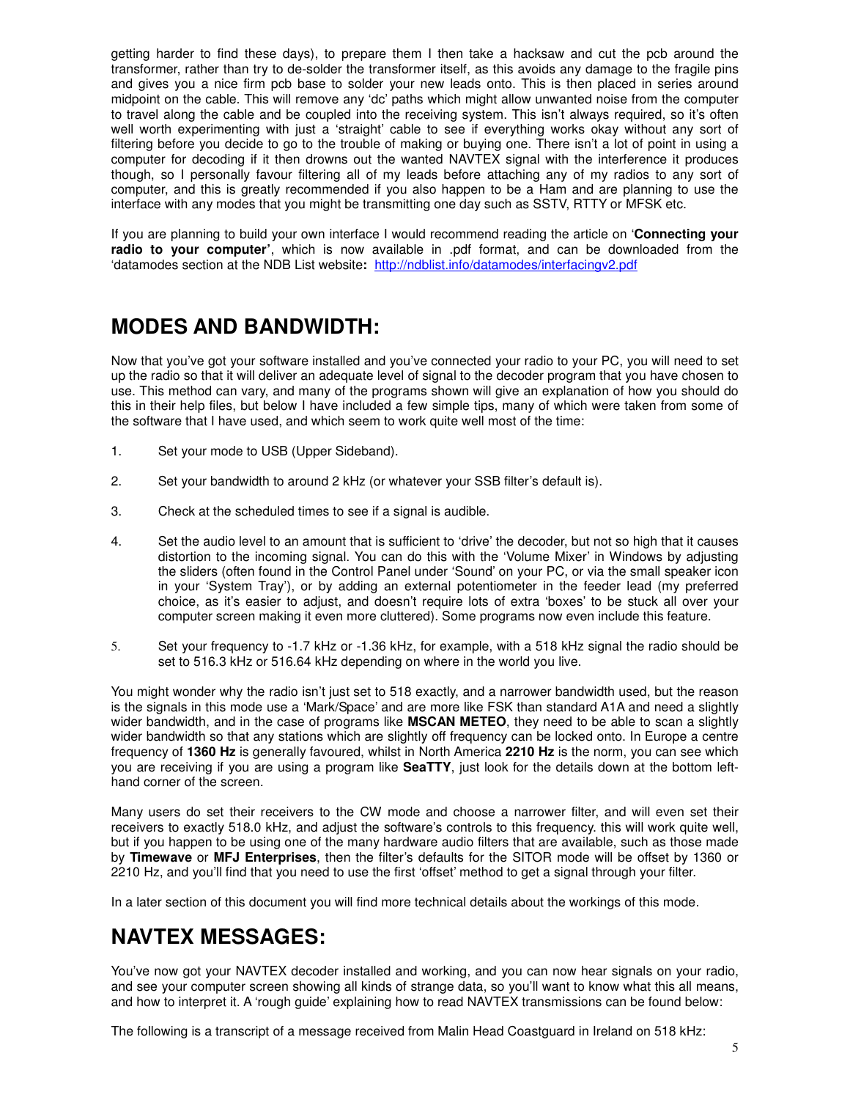getting harder to find these days), to prepare them I then take a hacksaw and cut the pcb around the transformer, rather than try to de-solder the transformer itself, as this avoids any damage to the fragile pins and gives you a nice firm pcb base to solder your new leads onto. This is then placed in series around midpoint on the cable. This will remove any 'dc' paths which might allow unwanted noise from the computer to travel along the cable and be coupled into the receiving system. This isn't always required, so it's often well worth experimenting with just a 'straight' cable to see if everything works okay without any sort of filtering before you decide to go to the trouble of making or buying one. There isn't a lot of point in using a computer for decoding if it then drowns out the wanted NAVTEX signal with the interference it produces though, so I personally favour filtering all of my leads before attaching any of my radios to any sort of computer, and this is greatly recommended if you also happen to be a Ham and are planning to use the interface with any modes that you might be transmitting one day such as SSTV, RTTY or MFSK etc.

If you are planning to build your own interface I would recommend reading the article on '**Connecting your radio to your computer'**, which is now available in .pdf format, and can be downloaded from the 'datamodes section at the NDB List website**:** http://ndblist.info/datamodes/interfacingv2.pdf

### **MODES AND BANDWIDTH:**

Now that you've got your software installed and you've connected your radio to your PC, you will need to set up the radio so that it will deliver an adequate level of signal to the decoder program that you have chosen to use. This method can vary, and many of the programs shown will give an explanation of how you should do this in their help files, but below I have included a few simple tips, many of which were taken from some of the software that I have used, and which seem to work quite well most of the time:

- 1. Set your mode to USB (Upper Sideband).
- 2. Set your bandwidth to around 2 kHz (or whatever your SSB filter's default is).
- 3. Check at the scheduled times to see if a signal is audible.
- 4. Set the audio level to an amount that is sufficient to 'drive' the decoder, but not so high that it causes distortion to the incoming signal. You can do this with the 'Volume Mixer' in Windows by adjusting the sliders (often found in the Control Panel under 'Sound' on your PC, or via the small speaker icon in your 'System Tray'), or by adding an external potentiometer in the feeder lead (my preferred choice, as it's easier to adjust, and doesn't require lots of extra 'boxes' to be stuck all over your computer screen making it even more cluttered). Some programs now even include this feature.
- 5. Set your frequency to -1.7 kHz or -1.36 kHz, for example, with a 518 kHz signal the radio should be set to 516.3 kHz or 516.64 kHz depending on where in the world you live.

You might wonder why the radio isn't just set to 518 exactly, and a narrower bandwidth used, but the reason is the signals in this mode use a 'Mark/Space' and are more like FSK than standard A1A and need a slightly wider bandwidth, and in the case of programs like **MSCAN METEO**, they need to be able to scan a slightly wider bandwidth so that any stations which are slightly off frequency can be locked onto. In Europe a centre frequency of **1360 Hz** is generally favoured, whilst in North America **2210 Hz** is the norm, you can see which you are receiving if you are using a program like **SeaTTY**, just look for the details down at the bottom lefthand corner of the screen.

Many users do set their receivers to the CW mode and choose a narrower filter, and will even set their receivers to exactly 518.0 kHz, and adjust the software's controls to this frequency. this will work quite well, but if you happen to be using one of the many hardware audio filters that are available, such as those made by **Timewave** or **MFJ Enterprises**, then the filter's defaults for the SITOR mode will be offset by 1360 or 2210 Hz, and you'll find that you need to use the first 'offset' method to get a signal through your filter.

In a later section of this document you will find more technical details about the workings of this mode.

### **NAVTEX MESSAGES:**

You've now got your NAVTEX decoder installed and working, and you can now hear signals on your radio, and see your computer screen showing all kinds of strange data, so you'll want to know what this all means, and how to interpret it. A 'rough guide' explaining how to read NAVTEX transmissions can be found below:

The following is a transcript of a message received from Malin Head Coastguard in Ireland on 518 kHz: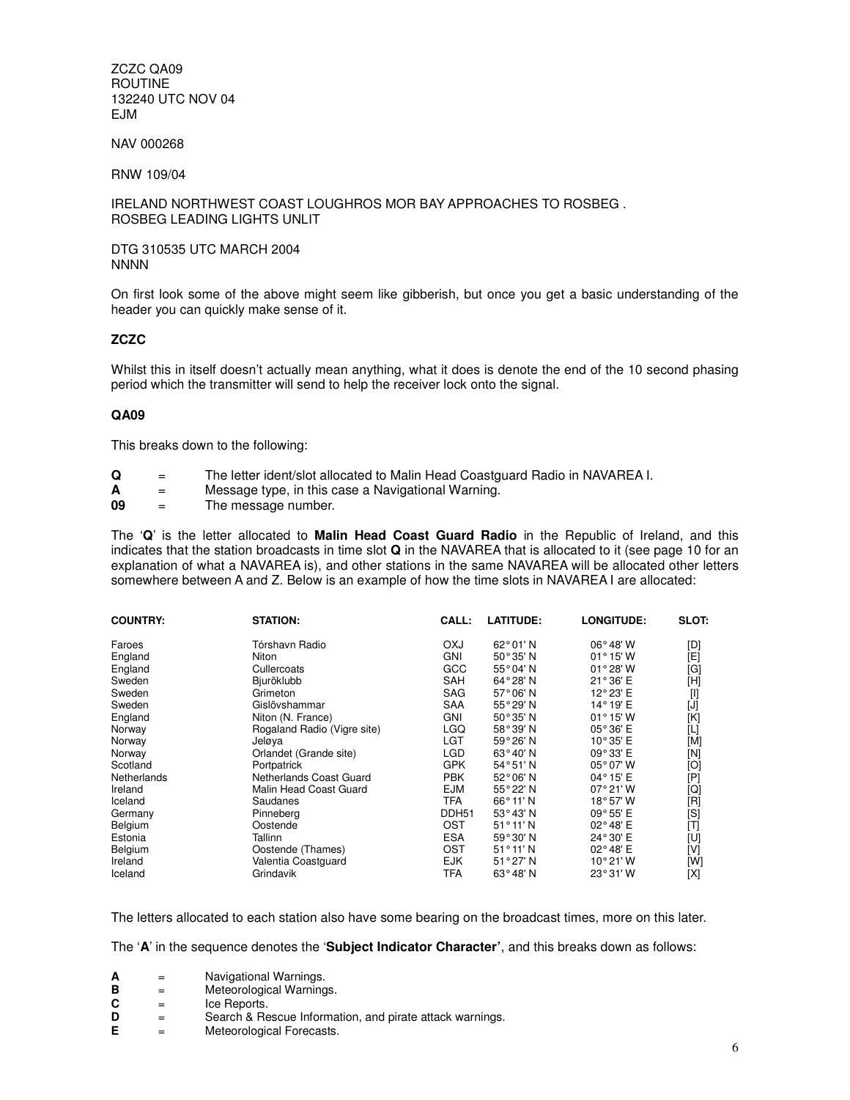ZCZC QA09 ROUTINE 132240 UTC NOV 04 EJM

NAV 000268

RNW 109/04

IRELAND NORTHWEST COAST LOUGHROS MOR BAY APPROACHES TO ROSBEG . ROSBEG LEADING LIGHTS UNLIT

#### DTG 310535 UTC MARCH 2004 **NNNN**

On first look some of the above might seem like gibberish, but once you get a basic understanding of the header you can quickly make sense of it.

#### **ZCZC**

Whilst this in itself doesn't actually mean anything, what it does is denote the end of the 10 second phasing period which the transmitter will send to help the receiver lock onto the signal.

#### **QA09**

This breaks down to the following:

- **Q** = The letter ident/slot allocated to Malin Head Coastguard Radio in NAVAREA I.
- $\mathbf{A}$  = Message type, in this case a Navigational Warning.<br> **09** = The message number
- = The message number.

The '**Q**' is the letter allocated to **Malin Head Coast Guard Radio** in the Republic of Ireland, and this indicates that the station broadcasts in time slot **Q** in the NAVAREA that is allocated to it (see page 10 for an explanation of what a NAVAREA is), and other stations in the same NAVAREA will be allocated other letters somewhere between A and Z. Below is an example of how the time slots in NAVAREA I are allocated:

| <b>COUNTRY:</b> | <b>STATION:</b>             | CALL:             | <b>LATITUDE:</b>   | <b>LONGITUDE:</b>  | <b>SLOT:</b>                                                                                                                                                                                                            |
|-----------------|-----------------------------|-------------------|--------------------|--------------------|-------------------------------------------------------------------------------------------------------------------------------------------------------------------------------------------------------------------------|
| Faroes          | Tórshavn Radio              | <b>OXJ</b>        | $62^{\circ}01'$ N  | $06^{\circ}$ 48' W | [D]                                                                                                                                                                                                                     |
| England         | Niton                       | <b>GNI</b>        | $50^{\circ}35'$ N  | $01^{\circ}$ 15' W | [E]                                                                                                                                                                                                                     |
| England         | Cullercoats                 | GCC               | 55°04'N            | $01^{\circ}28'$ W  | [G]                                                                                                                                                                                                                     |
| Sweden          | Bjuröklubb                  | <b>SAH</b>        | 64°28'N            | 21°36' E           | [H]                                                                                                                                                                                                                     |
| Sweden          | Grimeton                    | <b>SAG</b>        | 57°06'N            | 12°23' E           | $[] \centering \includegraphics[width=0.47\textwidth]{images/TrDiM1.png} \caption{The 3D (top) and 4D (bottom) are shown in the left and right.} \label{TrDiM1}$                                                        |
| Sweden          | Gislövshammar               | <b>SAA</b>        | 55°29'N            | 14°19' E           | $[J] % \begin{center} % \includegraphics[width=\linewidth]{imagesSupplemental_3.png} % \end{center} % \caption { % Our method is used for the method. % Our method is used for the method. % } % \label{fig:example} %$ |
| England         | Niton (N. France)           | <b>GNI</b>        | $50^{\circ}35'$ N  | $01^{\circ}$ 15' W | [K]                                                                                                                                                                                                                     |
| Norway          | Rogaland Radio (Vigre site) | LGQ               | 58°39'N            | 05°36' E           | [L]                                                                                                                                                                                                                     |
| Norway          | Jeløva                      | LGT               | 59°26'N            | 10°35' E           | [M]                                                                                                                                                                                                                     |
| Norway          | Orlandet (Grande site)      | LGD               | 63°40'N            | 09°33' E           | [N]                                                                                                                                                                                                                     |
| Scotland        | Portpatrick                 | <b>GPK</b>        | 54°51'N            | $05^{\circ}07'$ W  | [O]                                                                                                                                                                                                                     |
| Netherlands     | Netherlands Coast Guard     | <b>PBK</b>        | 52°06'N            | 04°15' E           | [P]                                                                                                                                                                                                                     |
| Ireland         | Malin Head Coast Guard      | EJM               | 55°22'N            | 07°21'W            | [Q]                                                                                                                                                                                                                     |
| Iceland         | Saudanes                    | <b>TFA</b>        | $66^{\circ}$ 11' N | 18°57'W            | [R]                                                                                                                                                                                                                     |
| Germany         | Pinneberg                   | DDH <sub>51</sub> | $53^{\circ}43'$ N  | $09^{\circ}55'$ E  | [S]                                                                                                                                                                                                                     |
| Belgium         | Oostende                    | <b>OST</b>        | $51^{\circ}11'$ N  | 02°48' E           | [T]                                                                                                                                                                                                                     |
| Estonia         | Tallinn                     | <b>ESA</b>        | 59°30'N            | 24°30' E           | [U]                                                                                                                                                                                                                     |
| Belgium         | Oostende (Thames)           | OST               | $51^{\circ}11'$ N  | 02°48' E           | [V]                                                                                                                                                                                                                     |
| Ireland         | Valentia Coastguard         | <b>EJK</b>        | 51°27'N            | 10°21'W            | [W]                                                                                                                                                                                                                     |
| Iceland         | Grindavik                   | TFA               | $63^{\circ}48'$ N  | 23°31'W            | [X]                                                                                                                                                                                                                     |

The letters allocated to each station also have some bearing on the broadcast times, more on this later.

The '**A**' in the sequence denotes the '**Subject Indicator Character'**, and this breaks down as follows:

- 
- **A** = Navigational Warnings.<br> **B** = Meteorological Warning **B** = Meteorological Warnings.
- $C =$  Ice Reports.<br>  $D =$  Search & Re
- **D** = Search & Rescue Information, and pirate attack warnings.<br> **E** = Meteorological Forecasts.
- **Meteorological Forecasts.**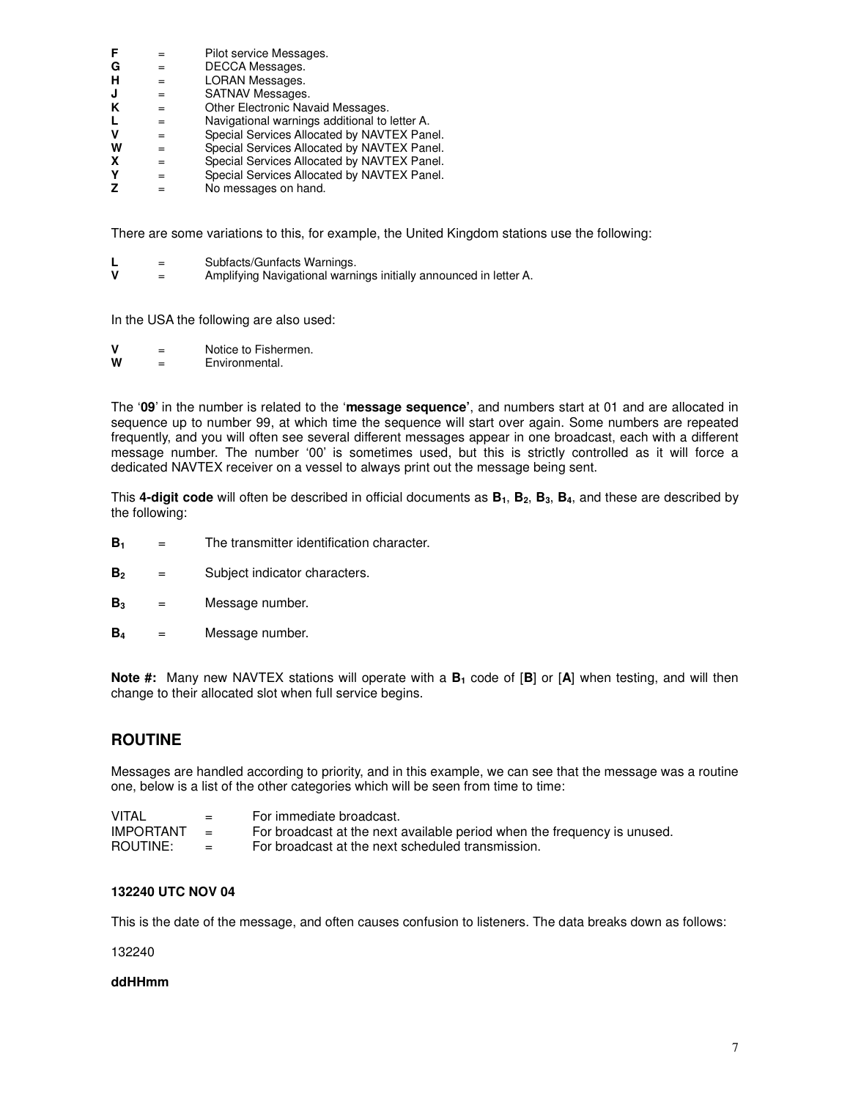|   | Pilot service Messages.                       |
|---|-----------------------------------------------|
|   | DECCA Messages.                               |
|   | LORAN Messages.                               |
|   | <b>SATNAV Messages.</b>                       |
|   | Other Electronic Navaid Messages.             |
|   | Navigational warnings additional to letter A. |
| = | Special Services Allocated by NAVTEX Panel.   |
|   | Special Services Allocated by NAVTEX Panel.   |
|   | Special Services Allocated by NAVTEX Panel.   |
|   | Special Services Allocated by NAVTEX Panel.   |
|   |                                               |

**Z** = No messages on hand.

There are some variations to this, for example, the United Kingdom stations use the following:

| Subfacts/Gunfacts Warnings. |  |
|-----------------------------|--|
|-----------------------------|--|

**V** = Amplifying Navigational warnings initially announced in letter A.

In the USA the following are also used:

- $V =$  Notice to Fishermen.<br>  $W =$  Environmental
- $=$  Environmental.

The '**09**' in the number is related to the '**message sequence'**, and numbers start at 01 and are allocated in sequence up to number 99, at which time the sequence will start over again. Some numbers are repeated frequently, and you will often see several different messages appear in one broadcast, each with a different message number. The number '00' is sometimes used, but this is strictly controlled as it will force a dedicated NAVTEX receiver on a vessel to always print out the message being sent.

This **4-digit code** will often be described in official documents as **B1**, **B2**, **B3**, **B4**, and these are described by the following:

- **B**<sub>1</sub> = The transmitter identification character.
- **B<sup>2</sup>** = Subject indicator characters.
- **B<sup>3</sup>** = Message number.
- **B4** = Message number.

**Note #:** Many new NAVTEX stations will operate with a **B1** code of [**B**] or [**A**] when testing, and will then change to their allocated slot when full service begins.

#### **ROUTINE**

Messages are handled according to priority, and in this example, we can see that the message was a routine one, below is a list of the other categories which will be seen from time to time:

| VITAL            | $=$      | For immediate broadcast.                                                 |
|------------------|----------|--------------------------------------------------------------------------|
| <b>IMPORTANT</b> |          | For broadcast at the next available period when the frequency is unused. |
| ROUTINE:         | $\equiv$ | For broadcast at the next scheduled transmission.                        |

#### **132240 UTC NOV 04**

This is the date of the message, and often causes confusion to listeners. The data breaks down as follows:

132240

#### **ddHHmm**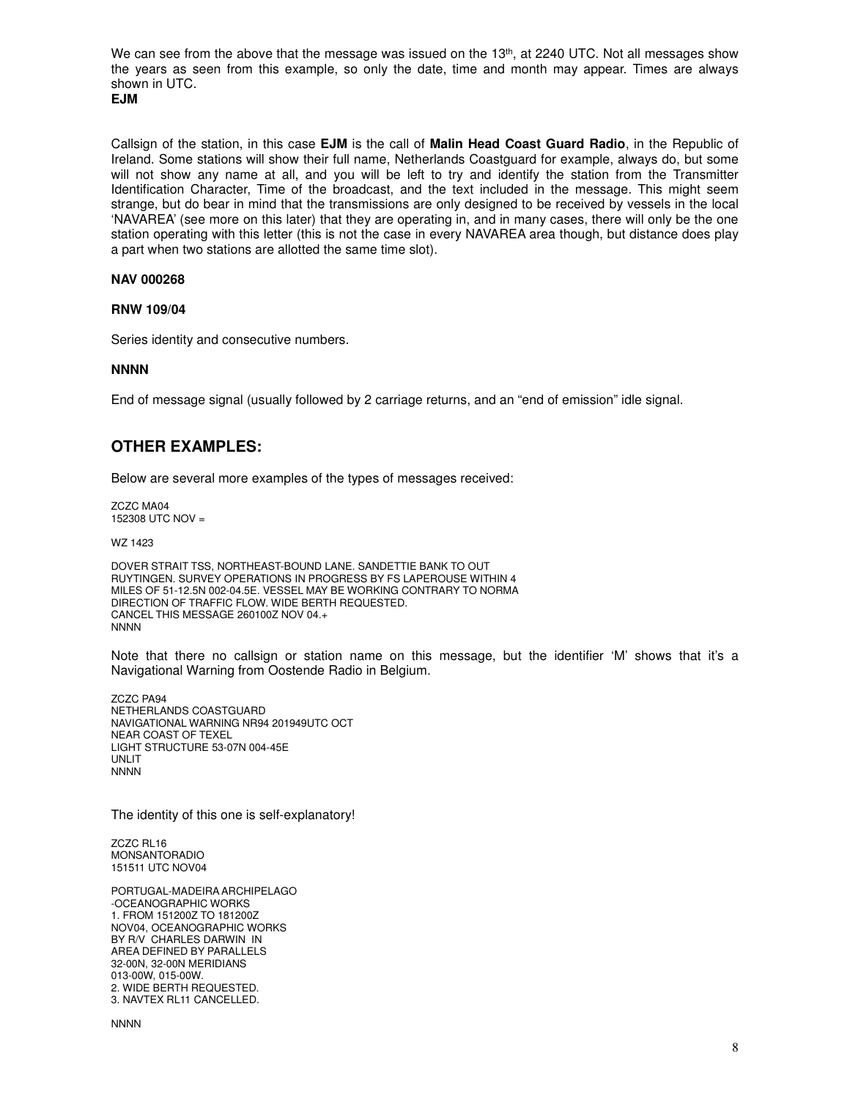We can see from the above that the message was issued on the  $13<sup>th</sup>$ , at 2240 UTC. Not all messages show the years as seen from this example, so only the date, time and month may appear. Times are always shown in UTC.

```
EJM
```
Callsign of the station, in this case **EJM** is the call of **Malin Head Coast Guard Radio**, in the Republic of Ireland. Some stations will show their full name, Netherlands Coastguard for example, always do, but some will not show any name at all, and you will be left to try and identify the station from the Transmitter Identification Character, Time of the broadcast, and the text included in the message. This might seem strange, but do bear in mind that the transmissions are only designed to be received by vessels in the local 'NAVAREA' (see more on this later) that they are operating in, and in many cases, there will only be the one station operating with this letter (this is not the case in every NAVAREA area though, but distance does play a part when two stations are allotted the same time slot).

#### **NAV 000268**

#### **RNW 109/04**

Series identity and consecutive numbers.

#### **NNNN**

End of message signal (usually followed by 2 carriage returns, and an "end of emission" idle signal.

#### **OTHER EXAMPLES:**

Below are several more examples of the types of messages received:

ZCZC MA04 152308 UTC NOV =

WZ 1423

DOVER STRAIT TSS, NORTHEAST-BOUND LANE. SANDETTIE BANK TO OUT RUYTINGEN. SURVEY OPERATIONS IN PROGRESS BY FS LAPEROUSE WITHIN 4 MILES OF 51-12.5N 002-04.5E. VESSEL MAY BE WORKING CONTRARY TO NORMA DIRECTION OF TRAFFIC FLOW. WIDE BERTH REQUESTED. CANCEL THIS MESSAGE 260100Z NOV 04.+ NNNN

Note that there no callsign or station name on this message, but the identifier 'M' shows that it's a Navigational Warning from Oostende Radio in Belgium.

ZCZC PA94 NETHERLANDS COASTGUARD NAVIGATIONAL WARNING NR94 201949UTC OCT NEAR COAST OF TEXEL LIGHT STRUCTURE 53-07N 004-45E UNLIT **NNNN** 

The identity of this one is self-explanatory!

ZCZC RL16 MONSANTORADIO 151511 UTC NOV04

PORTUGAL-MADEIRA ARCHIPELAGO -OCEANOGRAPHIC WORKS 1. FROM 151200Z TO 181200Z NOV04, OCEANOGRAPHIC WORKS BY R/V CHARLES DARWIN IN AREA DEFINED BY PARALLELS 32-00N, 32-00N MERIDIANS 013-00W, 015-00W. 2. WIDE BERTH REQUESTED. 3. NAVTEX RL11 CANCELLED.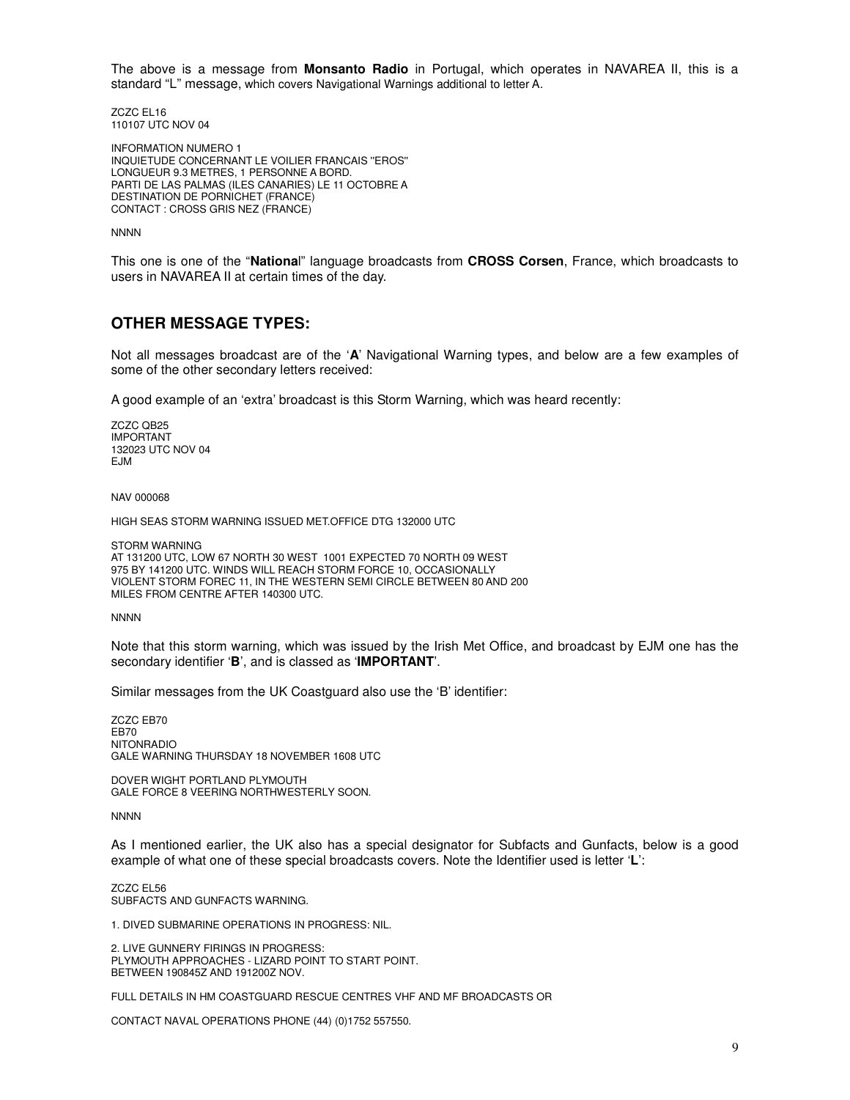The above is a message from **Monsanto Radio** in Portugal, which operates in NAVAREA II, this is a standard "L" message, which covers Navigational Warnings additional to letter A.

ZCZC EL16 110107 UTC NOV 04

INFORMATION NUMERO 1 INQUIETUDE CONCERNANT LE VOILIER FRANCAIS ''EROS'' LONGUEUR 9.3 METRES, 1 PERSONNE A BORD. PARTI DE LAS PALMAS (ILES CANARIES) LE 11 OCTOBRE A DESTINATION DE PORNICHET (FRANCE) CONTACT : CROSS GRIS NEZ (FRANCE)

**NNNN** 

This one is one of the "**Nationa**l" language broadcasts from **CROSS Corsen**, France, which broadcasts to users in NAVAREA II at certain times of the day.

#### **OTHER MESSAGE TYPES:**

Not all messages broadcast are of the '**A**' Navigational Warning types, and below are a few examples of some of the other secondary letters received:

A good example of an 'extra' broadcast is this Storm Warning, which was heard recently:

ZCZC QB25 IMPORTANT 132023 UTC NOV 04 EJM

NAV 000068

HIGH SEAS STORM WARNING ISSUED MET.OFFICE DTG 132000 UTC

STORM WARNING AT 131200 UTC, LOW 67 NORTH 30 WEST 1001 EXPECTED 70 NORTH 09 WEST 975 BY 141200 UTC. WINDS WILL REACH STORM FORCE 10, OCCASIONALLY VIOLENT STORM FOREC 11, IN THE WESTERN SEMI CIRCLE BETWEEN 80 AND 200 MILES FROM CENTRE AFTER 140300 UTC.

**NNNN** 

Note that this storm warning, which was issued by the Irish Met Office, and broadcast by EJM one has the secondary identifier '**B**', and is classed as '**IMPORTANT**'.

Similar messages from the UK Coastguard also use the 'B' identifier:

ZCZC EB70 EB70 NITONRADIO GALE WARNING THURSDAY 18 NOVEMBER 1608 UTC

DOVER WIGHT PORTLAND PLYMOUTH GALE FORCE 8 VEERING NORTHWESTERLY SOON.

**NNNN** 

As I mentioned earlier, the UK also has a special designator for Subfacts and Gunfacts, below is a good example of what one of these special broadcasts covers. Note the Identifier used is letter '**L**':

ZCZC EL56 SUBFACTS AND GUNFACTS WARNING.

1. DIVED SUBMARINE OPERATIONS IN PROGRESS: NIL.

2. LIVE GUNNERY FIRINGS IN PROGRESS: PLYMOUTH APPROACHES - LIZARD POINT TO START POINT. BETWEEN 190845Z AND 191200Z NOV.

FULL DETAILS IN HM COASTGUARD RESCUE CENTRES VHF AND MF BROADCASTS OR

CONTACT NAVAL OPERATIONS PHONE (44) (0)1752 557550.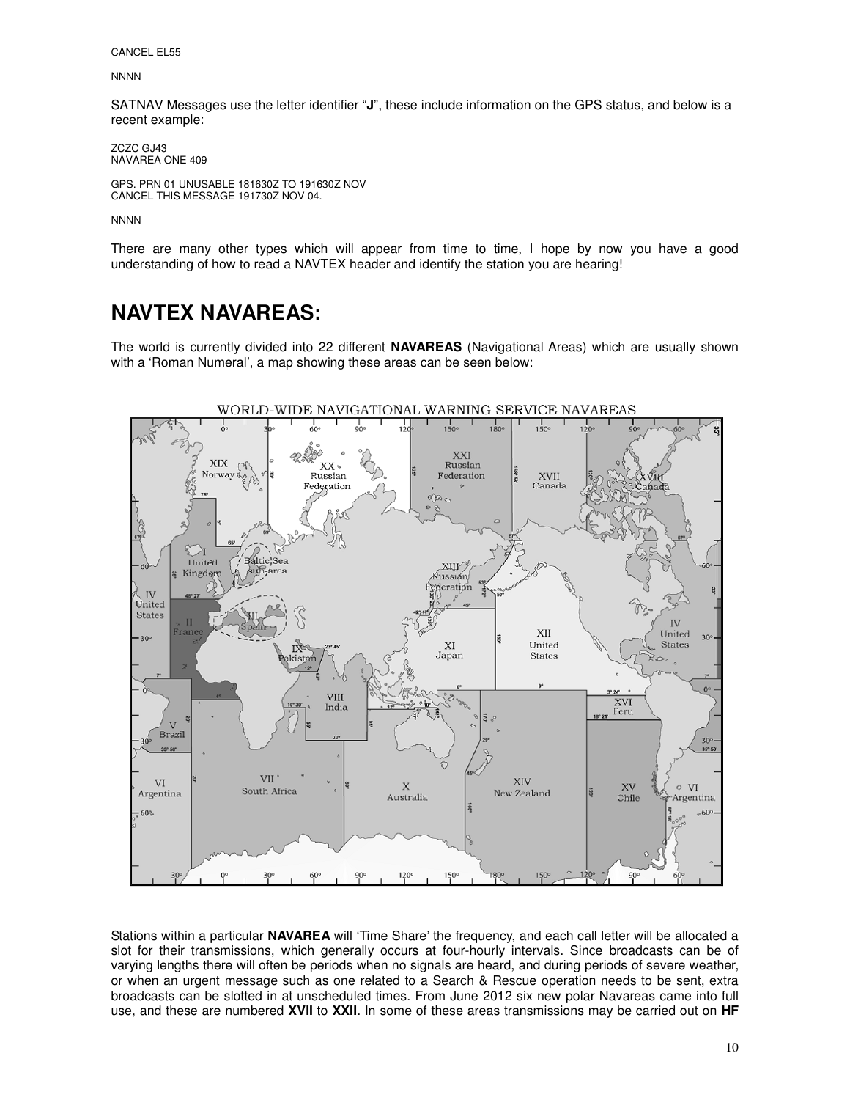CANCEL EL55

**NNNN** 

SATNAV Messages use the letter identifier "**J**", these include information on the GPS status, and below is a recent example:

ZCZC GJ43 NAVAREA ONE 409

GPS. PRN 01 UNUSABLE 181630Z TO 191630Z NOV CANCEL THIS MESSAGE 191730Z NOV 04.

**NNNN** 

There are many other types which will appear from time to time, I hope by now you have a good understanding of how to read a NAVTEX header and identify the station you are hearing!

### **NAVTEX NAVAREAS:**

The world is currently divided into 22 different **NAVAREAS** (Navigational Areas) which are usually shown with a 'Roman Numeral', a map showing these areas can be seen below:



Stations within a particular **NAVAREA** will 'Time Share' the frequency, and each call letter will be allocated a slot for their transmissions, which generally occurs at four-hourly intervals. Since broadcasts can be of varying lengths there will often be periods when no signals are heard, and during periods of severe weather, or when an urgent message such as one related to a Search & Rescue operation needs to be sent, extra broadcasts can be slotted in at unscheduled times. From June 2012 six new polar Navareas came into full use, and these are numbered **XVII** to **XXII**. In some of these areas transmissions may be carried out on **HF**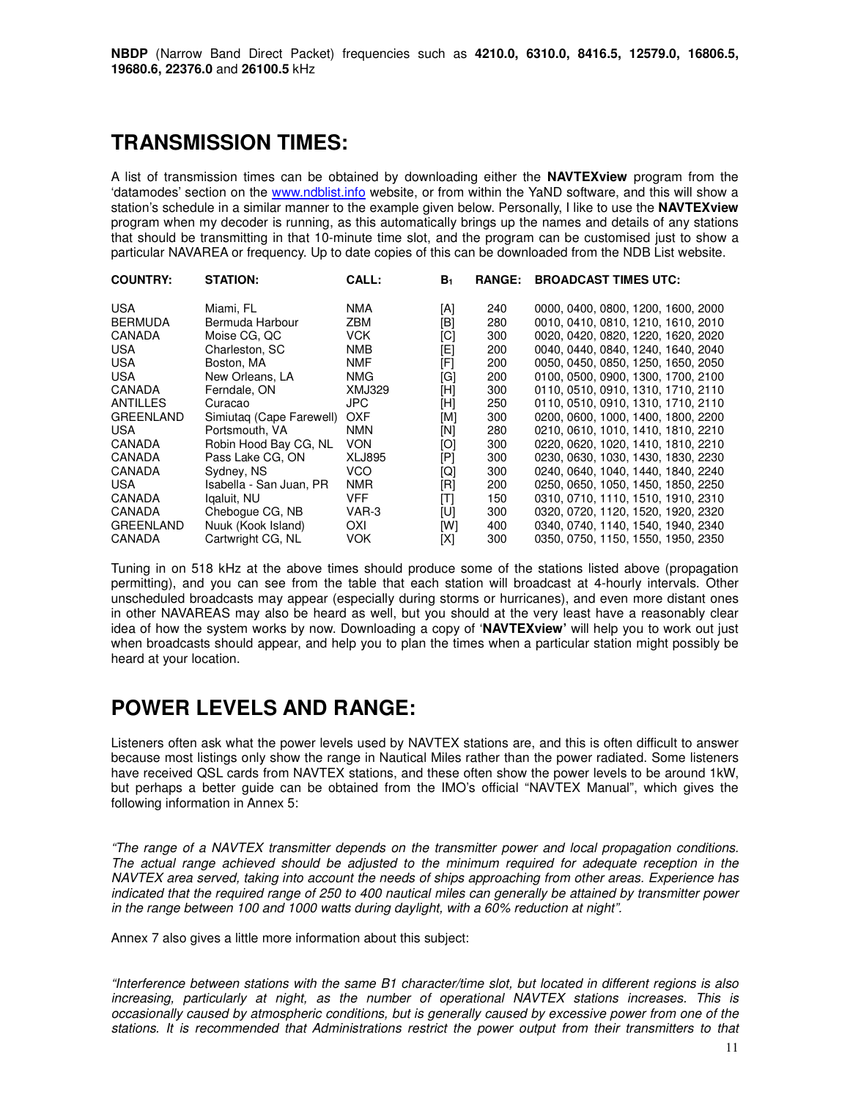### **TRANSMISSION TIMES:**

A list of transmission times can be obtained by downloading either the **NAVTEXview** program from the 'datamodes' section on the www.ndblist.info website, or from within the YaND software, and this will show a station's schedule in a similar manner to the example given below. Personally, I like to use the **NAVTEXview** program when my decoder is running, as this automatically brings up the names and details of any stations that should be transmitting in that 10-minute time slot, and the program can be customised just to show a particular NAVAREA or frequency. Up to date copies of this can be downloaded from the NDB List website.

| <b>COUNTRY:</b>  | <b>STATION:</b>          | CALL:         | B <sub>1</sub> | <b>RANGE:</b> | <b>BROADCAST TIMES UTC:</b>        |
|------------------|--------------------------|---------------|----------------|---------------|------------------------------------|
| <b>USA</b>       | Miami, FL                | <b>NMA</b>    | [A]            | 240           | 0000, 0400, 0800, 1200, 1600, 2000 |
| <b>BERMUDA</b>   | Bermuda Harbour          | <b>ZBM</b>    | [B]            | 280           | 0010, 0410, 0810, 1210, 1610, 2010 |
| CANADA           | Moise CG, QC             | <b>VCK</b>    | [C]            | 300           | 0020, 0420, 0820, 1220, 1620, 2020 |
| <b>USA</b>       | Charleston, SC           | <b>NMB</b>    | [E]            | 200           | 0040, 0440, 0840, 1240, 1640, 2040 |
| USA              | Boston, MA               | <b>NMF</b>    | [F]            | 200           | 0050, 0450, 0850, 1250, 1650, 2050 |
| <b>USA</b>       | New Orleans, LA          | <b>NMG</b>    | [G]            | 200           | 0100, 0500, 0900, 1300, 1700, 2100 |
| <b>CANADA</b>    | Ferndale, ON             | <b>XMJ329</b> | [H]            | 300           | 0110.0510.0910.1310.1710.2110      |
| ANTILLES         | Curacao                  | JPC.          | [H]            | 250           | 0110.0510.0910.1310.1710.2110      |
| <b>GREENLAND</b> | Simiutag (Cape Farewell) | <b>OXF</b>    | [M]            | 300           | 0200, 0600, 1000, 1400, 1800, 2200 |
| <b>USA</b>       | Portsmouth, VA           | <b>NMN</b>    | [N]            | 280           | 0210, 0610, 1010, 1410, 1810, 2210 |
| CANADA           | Robin Hood Bay CG, NL    | <b>VON</b>    | [O]            | 300           | 0220, 0620, 1020, 1410, 1810, 2210 |
| CANADA           | Pass Lake CG, ON         | <b>XLJ895</b> | [P]            | 300           | 0230, 0630, 1030, 1430, 1830, 2230 |
| CANADA           | Sydney, NS               | <b>VCO</b>    | [Q]            | 300           | 0240, 0640, 1040, 1440, 1840, 2240 |
| <b>USA</b>       | Isabella - San Juan, PR  | <b>NMR</b>    | [R]            | 200           | 0250, 0650, 1050, 1450, 1850, 2250 |
| CANADA           | Igaluit, NU              | <b>VFF</b>    | [T]            | 150           | 0310, 0710, 1110, 1510, 1910, 2310 |
| CANADA           | Cheboque CG, NB          | VAR-3         | [U]            | 300           | 0320, 0720, 1120, 1520, 1920, 2320 |
| <b>GREENLAND</b> | Nuuk (Kook Island)       | OXI           | [W]            | 400           | 0340, 0740, 1140, 1540, 1940, 2340 |
| CANADA           | Cartwright CG, NL        | <b>VOK</b>    | [X]            | 300           | 0350, 0750, 1150, 1550, 1950, 2350 |

Tuning in on 518 kHz at the above times should produce some of the stations listed above (propagation permitting), and you can see from the table that each station will broadcast at 4-hourly intervals. Other unscheduled broadcasts may appear (especially during storms or hurricanes), and even more distant ones in other NAVAREAS may also be heard as well, but you should at the very least have a reasonably clear idea of how the system works by now. Downloading a copy of '**NAVTEXview'** will help you to work out just when broadcasts should appear, and help you to plan the times when a particular station might possibly be heard at your location.

# **POWER LEVELS AND RANGE:**

Listeners often ask what the power levels used by NAVTEX stations are, and this is often difficult to answer because most listings only show the range in Nautical Miles rather than the power radiated. Some listeners have received QSL cards from NAVTEX stations, and these often show the power levels to be around 1kW, but perhaps a better guide can be obtained from the IMO's official "NAVTEX Manual", which gives the following information in Annex 5:

"The range of a NAVTEX transmitter depends on the transmitter power and local propagation conditions. The actual range achieved should be adjusted to the minimum required for adequate reception in the NAVTEX area served, taking into account the needs of ships approaching from other areas. Experience has indicated that the required range of 250 to 400 nautical miles can generally be attained by transmitter power in the range between 100 and 1000 watts during daylight, with a 60% reduction at night".

Annex 7 also gives a little more information about this subject:

"Interference between stations with the same B1 character/time slot, but located in different regions is also increasing, particularly at night, as the number of operational NAVTEX stations increases. This is occasionally caused by atmospheric conditions, but is generally caused by excessive power from one of the stations. It is recommended that Administrations restrict the power output from their transmitters to that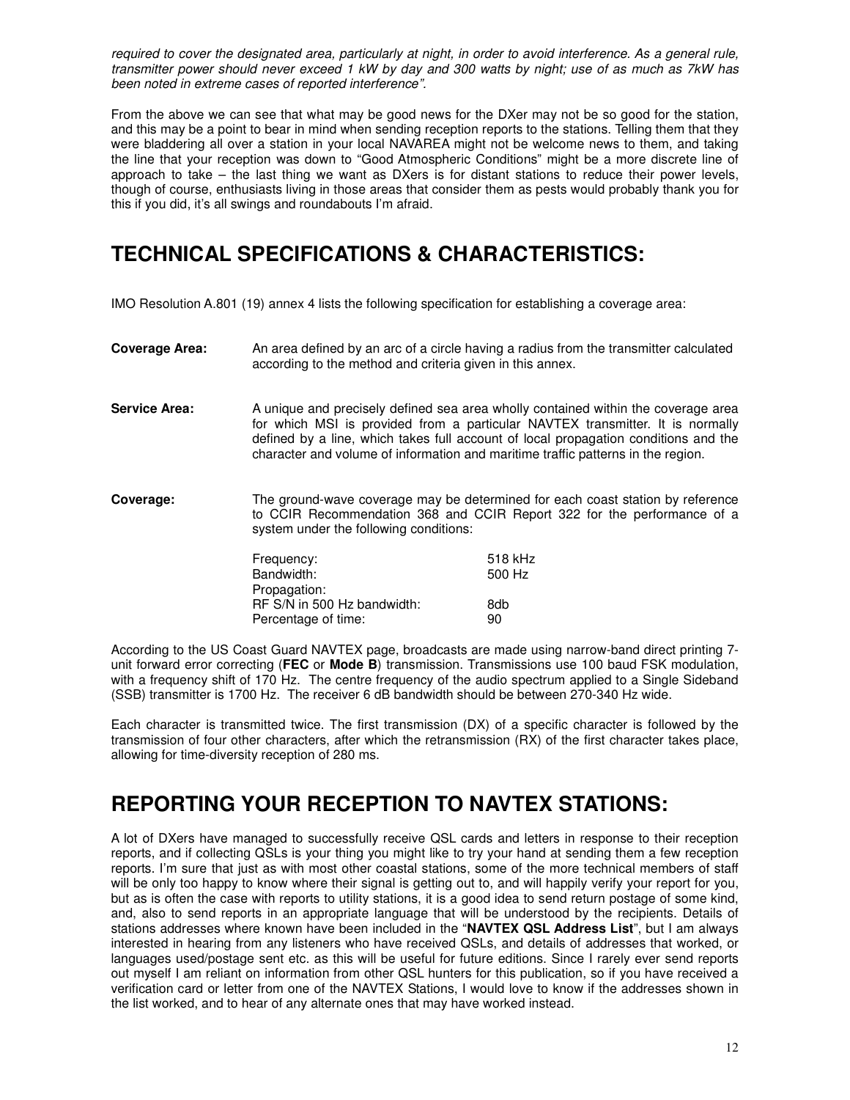required to cover the designated area, particularly at night, in order to avoid interference. As a general rule, transmitter power should never exceed 1 kW by day and 300 watts by night; use of as much as 7kW has been noted in extreme cases of reported interference".

From the above we can see that what may be good news for the DXer may not be so good for the station, and this may be a point to bear in mind when sending reception reports to the stations. Telling them that they were bladdering all over a station in your local NAVAREA might not be welcome news to them, and taking the line that your reception was down to "Good Atmospheric Conditions" might be a more discrete line of approach to take – the last thing we want as DXers is for distant stations to reduce their power levels, though of course, enthusiasts living in those areas that consider them as pests would probably thank you for this if you did, it's all swings and roundabouts I'm afraid.

# **TECHNICAL SPECIFICATIONS & CHARACTERISTICS:**

IMO Resolution A.801 (19) annex 4 lists the following specification for establishing a coverage area:

- **Coverage Area:** An area defined by an arc of a circle having a radius from the transmitter calculated according to the method and criteria given in this annex.
- Service Area: A unique and precisely defined sea area wholly contained within the coverage area for which MSI is provided from a particular NAVTEX transmitter. It is normally defined by a line, which takes full account of local propagation conditions and the character and volume of information and maritime traffic patterns in the region.
- **Coverage:** The ground-wave coverage may be determined for each coast station by reference to CCIR Recommendation 368 and CCIR Report 322 for the performance of a system under the following conditions:

| Frequency:                  | 518 kHz |
|-----------------------------|---------|
| Bandwidth:                  | 500 Hz  |
| Propagation:                |         |
| RF S/N in 500 Hz bandwidth: | 8db     |
| Percentage of time:         | 90      |

According to the US Coast Guard NAVTEX page, broadcasts are made using narrow-band direct printing 7 unit forward error correcting (**FEC** or **Mode B**) transmission. Transmissions use 100 baud FSK modulation, with a frequency shift of 170 Hz. The centre frequency of the audio spectrum applied to a Single Sideband (SSB) transmitter is 1700 Hz. The receiver 6 dB bandwidth should be between 270-340 Hz wide.

Each character is transmitted twice. The first transmission (DX) of a specific character is followed by the transmission of four other characters, after which the retransmission (RX) of the first character takes place, allowing for time-diversity reception of 280 ms.

### **REPORTING YOUR RECEPTION TO NAVTEX STATIONS:**

A lot of DXers have managed to successfully receive QSL cards and letters in response to their reception reports, and if collecting QSLs is your thing you might like to try your hand at sending them a few reception reports. I'm sure that just as with most other coastal stations, some of the more technical members of staff will be only too happy to know where their signal is getting out to, and will happily verify your report for you, but as is often the case with reports to utility stations, it is a good idea to send return postage of some kind, and, also to send reports in an appropriate language that will be understood by the recipients. Details of stations addresses where known have been included in the "**NAVTEX QSL Address List**", but I am always interested in hearing from any listeners who have received QSLs, and details of addresses that worked, or languages used/postage sent etc. as this will be useful for future editions. Since I rarely ever send reports out myself I am reliant on information from other QSL hunters for this publication, so if you have received a verification card or letter from one of the NAVTEX Stations, I would love to know if the addresses shown in the list worked, and to hear of any alternate ones that may have worked instead.